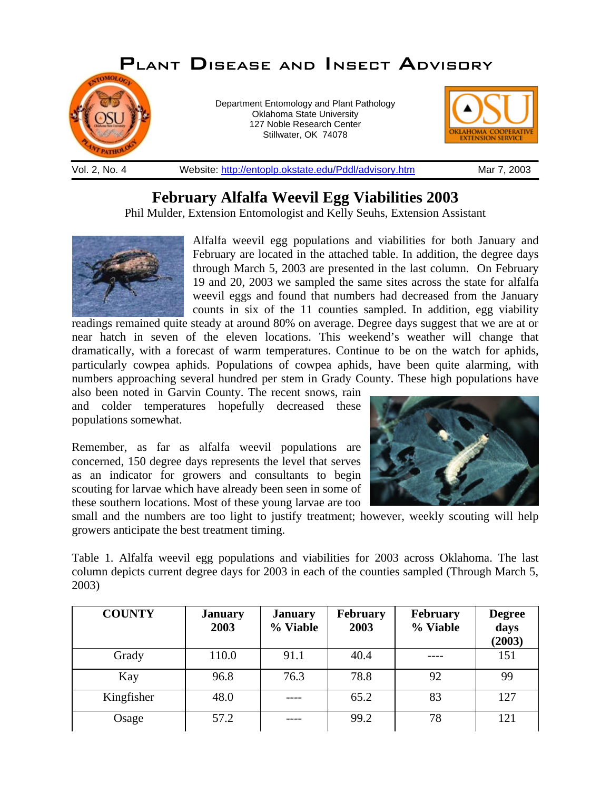

## **February Alfalfa Weevil Egg Viabilities 2003**

Phil Mulder, Extension Entomologist and Kelly Seuhs, Extension Assistant



Alfalfa weevil egg populations and viabilities for both January and February are located in the attached table. In addition, the degree days through March 5, 2003 are presented in the last column. On February 19 and 20, 2003 we sampled the same sites across the state for alfalfa weevil eggs and found that numbers had decreased from the January counts in six of the 11 counties sampled. In addition, egg viability

readings remained quite steady at around 80% on average. Degree days suggest that we are at or near hatch in seven of the eleven locations. This weekend's weather will change that dramatically, with a forecast of warm temperatures. Continue to be on the watch for aphids, particularly cowpea aphids. Populations of cowpea aphids, have been quite alarming, with numbers approaching several hundred per stem in Grady County. These high populations have also been noted in Garvin County. The recent snows, rain

and colder temperatures hopefully decreased these populations somewhat.

Remember, as far as alfalfa weevil populations are concerned, 150 degree days represents the level that serves as an indicator for growers and consultants to begin scouting for larvae which have already been seen in some of these southern locations. Most of these young larvae are too



small and the numbers are too light to justify treatment; however, weekly scouting will help growers anticipate the best treatment timing.

Table 1. Alfalfa weevil egg populations and viabilities for 2003 across Oklahoma. The last column depicts current degree days for 2003 in each of the counties sampled (Through March 5, 2003)

| <b>COUNTY</b> | <b>January</b><br>2003 | <b>January</b><br>% Viable | <b>February</b><br>2003 | February<br>% Viable | <b>Degree</b><br>days<br>(2003) |
|---------------|------------------------|----------------------------|-------------------------|----------------------|---------------------------------|
| Grady         | 110.0                  | 91.1                       | 40.4                    |                      | 151                             |
| Kay           | 96.8                   | 76.3                       | 78.8                    | 92                   | 99                              |
| Kingfisher    | 48.0                   |                            | 65.2                    | 83                   | 127                             |
| Osage         | 57.2                   |                            | 99.2                    | 78                   | 121                             |